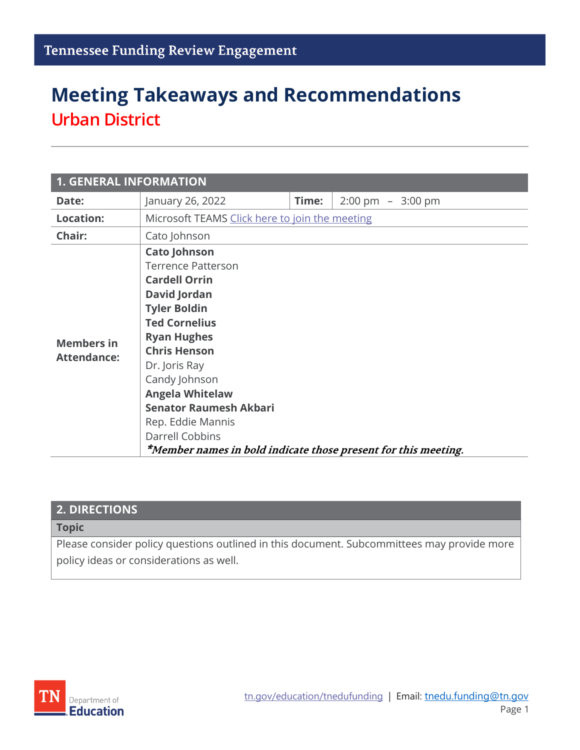# **Meeting Takeaways and Recommendations Urban District**

| <b>1. GENERAL INFORMATION</b>           |                                                                                                                                                                                                                                                                                                                           |       |                                      |  |
|-----------------------------------------|---------------------------------------------------------------------------------------------------------------------------------------------------------------------------------------------------------------------------------------------------------------------------------------------------------------------------|-------|--------------------------------------|--|
| Date:                                   | January 26, 2022                                                                                                                                                                                                                                                                                                          | Time: | $2:00 \text{ pm } - 3:00 \text{ pm}$ |  |
| <b>Location:</b>                        | Microsoft TEAMS Click here to join the meeting                                                                                                                                                                                                                                                                            |       |                                      |  |
| Chair:                                  | Cato Johnson                                                                                                                                                                                                                                                                                                              |       |                                      |  |
| <b>Members in</b><br><b>Attendance:</b> | <b>Cato Johnson</b><br><b>Terrence Patterson</b><br><b>Cardell Orrin</b><br>David Jordan<br><b>Tyler Boldin</b><br><b>Ted Cornelius</b><br><b>Ryan Hughes</b><br><b>Chris Henson</b><br>Dr. Joris Ray<br>Candy Johnson<br><b>Angela Whitelaw</b><br><b>Senator Raumesh Akbari</b><br>Rep. Eddie Mannis<br>Darrell Cobbins |       |                                      |  |

#### **2. DIRECTIONS**

**Topic**

Please consider policy questions outlined in this document. Subcommittees may provide more policy ideas or considerations as well.

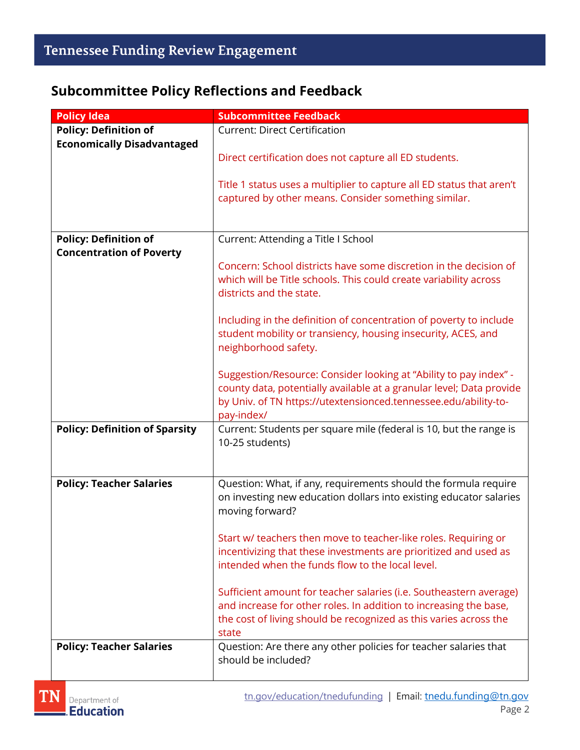### **Subcommittee Policy Reflections and Feedback**

| <b>Policy Idea</b>                    | <b>Subcommittee Feedback</b>                                                     |
|---------------------------------------|----------------------------------------------------------------------------------|
| <b>Policy: Definition of</b>          | <b>Current: Direct Certification</b>                                             |
| <b>Economically Disadvantaged</b>     |                                                                                  |
|                                       | Direct certification does not capture all ED students.                           |
|                                       |                                                                                  |
|                                       | Title 1 status uses a multiplier to capture all ED status that aren't            |
|                                       | captured by other means. Consider something similar.                             |
|                                       |                                                                                  |
| <b>Policy: Definition of</b>          | Current: Attending a Title I School                                              |
| <b>Concentration of Poverty</b>       |                                                                                  |
|                                       | Concern: School districts have some discretion in the decision of                |
|                                       | which will be Title schools. This could create variability across                |
|                                       | districts and the state.                                                         |
|                                       | Including in the definition of concentration of poverty to include               |
|                                       | student mobility or transiency, housing insecurity, ACES, and                    |
|                                       | neighborhood safety.                                                             |
|                                       |                                                                                  |
|                                       | Suggestion/Resource: Consider looking at "Ability to pay index" -                |
|                                       | county data, potentially available at a granular level; Data provide             |
|                                       | by Univ. of TN https://utextensionced.tennessee.edu/ability-to-                  |
| <b>Policy: Definition of Sparsity</b> | pay-index/<br>Current: Students per square mile (federal is 10, but the range is |
|                                       | 10-25 students)                                                                  |
|                                       |                                                                                  |
|                                       |                                                                                  |
| <b>Policy: Teacher Salaries</b>       | Question: What, if any, requirements should the formula require                  |
|                                       | on investing new education dollars into existing educator salaries               |
|                                       | moving forward?                                                                  |
|                                       | Start w/ teachers then move to teacher-like roles. Requiring or                  |
|                                       | incentivizing that these investments are prioritized and used as                 |
|                                       | intended when the funds flow to the local level.                                 |
|                                       |                                                                                  |
|                                       | Sufficient amount for teacher salaries (i.e. Southeastern average)               |
|                                       | and increase for other roles. In addition to increasing the base,                |
|                                       | the cost of living should be recognized as this varies across the                |
| <b>Policy: Teacher Salaries</b>       | state<br>Question: Are there any other policies for teacher salaries that        |
|                                       | should be included?                                                              |
|                                       |                                                                                  |

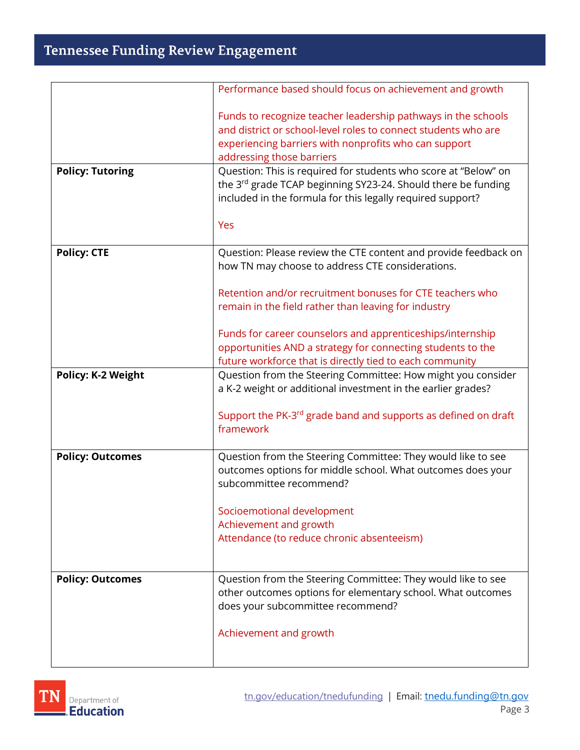|                           | Performance based should focus on achievement and growth                                                                                                                                                                                                                                 |
|---------------------------|------------------------------------------------------------------------------------------------------------------------------------------------------------------------------------------------------------------------------------------------------------------------------------------|
| <b>Policy: Tutoring</b>   | Funds to recognize teacher leadership pathways in the schools<br>and district or school-level roles to connect students who are<br>experiencing barriers with nonprofits who can support<br>addressing those barriers<br>Question: This is required for students who score at "Below" on |
|                           | the 3 <sup>rd</sup> grade TCAP beginning SY23-24. Should there be funding<br>included in the formula for this legally required support?<br>Yes                                                                                                                                           |
|                           |                                                                                                                                                                                                                                                                                          |
| <b>Policy: CTE</b>        | Question: Please review the CTE content and provide feedback on<br>how TN may choose to address CTE considerations.                                                                                                                                                                      |
|                           | Retention and/or recruitment bonuses for CTE teachers who<br>remain in the field rather than leaving for industry                                                                                                                                                                        |
|                           | Funds for career counselors and apprenticeships/internship<br>opportunities AND a strategy for connecting students to the<br>future workforce that is directly tied to each community                                                                                                    |
| <b>Policy: K-2 Weight</b> | Question from the Steering Committee: How might you consider<br>a K-2 weight or additional investment in the earlier grades?                                                                                                                                                             |
|                           | Support the PK-3 <sup>rd</sup> grade band and supports as defined on draft<br>framework                                                                                                                                                                                                  |
| <b>Policy: Outcomes</b>   | Question from the Steering Committee: They would like to see<br>outcomes options for middle school. What outcomes does your<br>subcommittee recommend?                                                                                                                                   |
|                           | Socioemotional development                                                                                                                                                                                                                                                               |
|                           | Achievement and growth                                                                                                                                                                                                                                                                   |
|                           | Attendance (to reduce chronic absenteeism)                                                                                                                                                                                                                                               |
| <b>Policy: Outcomes</b>   | Question from the Steering Committee: They would like to see                                                                                                                                                                                                                             |
|                           | other outcomes options for elementary school. What outcomes<br>does your subcommittee recommend?                                                                                                                                                                                         |
|                           | Achievement and growth                                                                                                                                                                                                                                                                   |
|                           |                                                                                                                                                                                                                                                                                          |

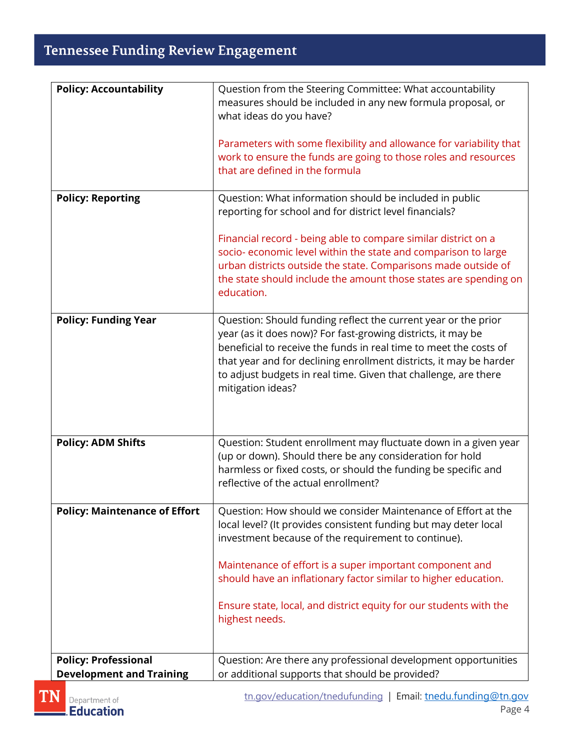## **Tennessee Funding Review Engagement**

| <b>Policy: Accountability</b>        | Question from the Steering Committee: What accountability                                                                               |
|--------------------------------------|-----------------------------------------------------------------------------------------------------------------------------------------|
|                                      | measures should be included in any new formula proposal, or<br>what ideas do you have?                                                  |
|                                      |                                                                                                                                         |
|                                      | Parameters with some flexibility and allowance for variability that                                                                     |
|                                      | work to ensure the funds are going to those roles and resources                                                                         |
|                                      | that are defined in the formula                                                                                                         |
| <b>Policy: Reporting</b>             | Question: What information should be included in public                                                                                 |
|                                      | reporting for school and for district level financials?                                                                                 |
|                                      | Financial record - being able to compare similar district on a                                                                          |
|                                      | socio-economic level within the state and comparison to large                                                                           |
|                                      | urban districts outside the state. Comparisons made outside of                                                                          |
|                                      | the state should include the amount those states are spending on                                                                        |
|                                      | education.                                                                                                                              |
| <b>Policy: Funding Year</b>          | Question: Should funding reflect the current year or the prior                                                                          |
|                                      | year (as it does now)? For fast-growing districts, it may be                                                                            |
|                                      | beneficial to receive the funds in real time to meet the costs of<br>that year and for declining enrollment districts, it may be harder |
|                                      | to adjust budgets in real time. Given that challenge, are there                                                                         |
|                                      | mitigation ideas?                                                                                                                       |
|                                      |                                                                                                                                         |
|                                      |                                                                                                                                         |
| <b>Policy: ADM Shifts</b>            | Question: Student enrollment may fluctuate down in a given year                                                                         |
|                                      | (up or down). Should there be any consideration for hold                                                                                |
|                                      | harmless or fixed costs, or should the funding be specific and<br>reflective of the actual enrollment?                                  |
|                                      |                                                                                                                                         |
| <b>Policy: Maintenance of Effort</b> | Question: How should we consider Maintenance of Effort at the                                                                           |
|                                      | local level? (It provides consistent funding but may deter local                                                                        |
|                                      | investment because of the requirement to continue).                                                                                     |
|                                      | Maintenance of effort is a super important component and                                                                                |
|                                      | should have an inflationary factor similar to higher education.                                                                         |
|                                      | Ensure state, local, and district equity for our students with the                                                                      |
|                                      | highest needs.                                                                                                                          |
|                                      |                                                                                                                                         |
| <b>Policy: Professional</b>          | Question: Are there any professional development opportunities                                                                          |
| <b>Development and Training</b>      | or additional supports that should be provided?                                                                                         |